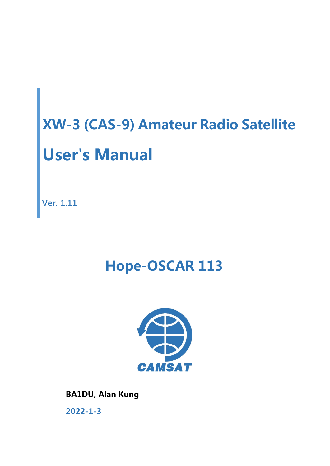**Ver. 1.11**

## **Hope-OSCAR 113**



**BA1DU, Alan Kung 2022-1-3**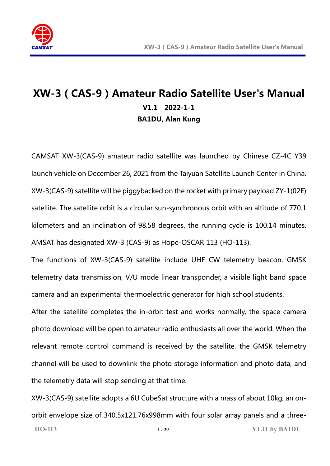

## **XW-3(CAS-9)Amateur Radio Satellite User's Manual V1.1 2022-1-1 BA1DU, Alan Kung**

CAMSAT XW-3(CAS-9) amateur radio satellite was launched by Chinese CZ-4C Y39 launch vehicle on December 26, 2021 from the Taiyuan Satellite Launch Center in China. XW-3(CAS-9) satellite will be piggybacked on the rocket with primary payload ZY-1(02E) satellite. The satellite orbit is a circular sun-synchronous orbit with an altitude of 770.1 kilometers and an inclination of 98.58 degrees, the running cycle is 100.14 minutes. AMSAT has designated XW-3 (CAS-9) as Hope-OSCAR 113 (HO-113).

The functions of XW-3(CAS-9) satellite include UHF CW telemetry beacon, GMSK telemetry data transmission, V/U mode linear transponder, a visible light band space camera and an experimental thermoelectric generator for high school students.

After the satellite completes the in-orbit test and works normally, the space camera photo download will be open to amateur radio enthusiasts all over the world. When the relevant remote control command is received by the satellite, the GMSK telemetry channel will be used to downlink the photo storage information and photo data, and the telemetry data will stop sending at that time.

**HO-113 1** / **29 V1.11 by BA1DU** XW-3(CAS-9) satellite adopts a 6U CubeSat structure with a mass of about 10kg, an onorbit envelope size of 340.5x121.76x998mm with four solar array panels and a three-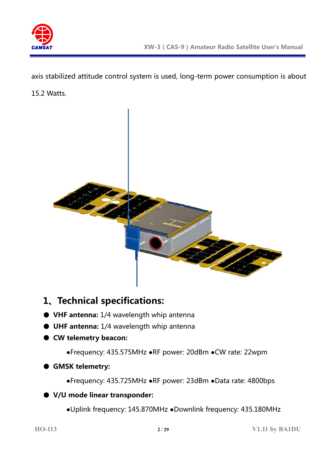

axis stabilized attitude control system is used, long-term power consumption is about

15.2 Watts.



## **1、Technical specifications:**

- **VHF antenna:** 1/4 wavelength whip antenna
- **UHF antenna:** 1/4 wavelength whip antenna
- **CW telemetry beacon:**
	- **●**Frequency: 435.575MHz **●**RF power: 20dBm **●**CW rate: 22wpm
- **GMSK telemetry:** 
	- **●**Frequency: 435.725MHz **●**RF power: 23dBm **●**Data rate: 4800bps
- **V/U mode linear transponder:** 
	- **●**Uplink frequency: 145.870MHz **●**Downlink frequency: 435.180MHz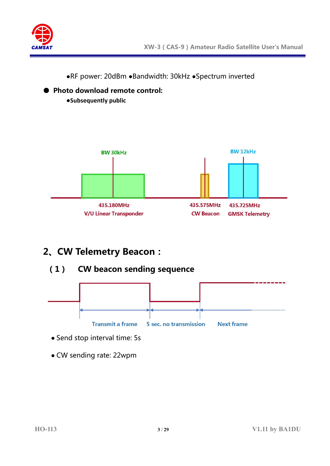

**●**RF power: 20dBm **●**Bandwidth: 30kHz **●**Spectrum inverted



## **2、CW Telemetry Beacon:**

● **Photo download remote control:** 

**●Subsequently public**

**(1) CW beacon sending sequence**



- Send stop interval time: 5s
- CW sending rate: 22wpm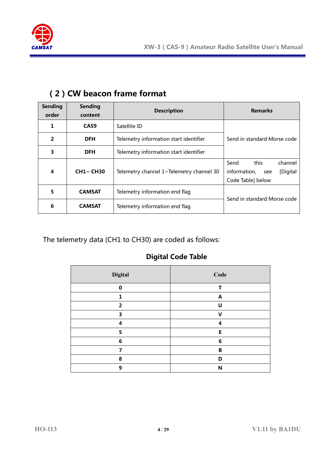

| <b>Sending</b><br>order | <b>Sending</b><br>content | <b>Description</b>                                            | <b>Remarks</b>                                                                 |  |  |  |
|-------------------------|---------------------------|---------------------------------------------------------------|--------------------------------------------------------------------------------|--|--|--|
| 1                       | CAS <sub>9</sub>          | Satellite ID                                                  |                                                                                |  |  |  |
| $\overline{2}$          | <b>DFH</b>                | Telemetry information start identifier                        | Send in standard Morse code                                                    |  |  |  |
| 3                       | <b>DFH</b>                | Telemetry information start identifier                        |                                                                                |  |  |  |
| 4                       | <b>CH1~ CH30</b>          | Telemetry channel 1~Telemetry channel 30                      | this<br>Send<br>channel<br>information,<br>[Digital<br>see<br>Code Table below |  |  |  |
| 5                       | <b>CAMSAT</b>             | Telemetry information end flag                                |                                                                                |  |  |  |
| 6                       | <b>CAMSAT</b>             | Send in standard Morse code<br>Telemetry information end flag |                                                                                |  |  |  |

#### **(2)CW beacon frame format**

The telemetry data (CH1 to CH30) are coded as follows:

#### **Digital Code Table**

| <b>Digital</b> | Code         |
|----------------|--------------|
| $\bf{0}$       | т            |
| 1              | A            |
| $\overline{2}$ | U            |
| 3              | $\mathsf{V}$ |
| 4              | 4            |
| 5              | E            |
| 6              | 6            |
| 7              | B            |
| 8              | D            |
| 9              | N            |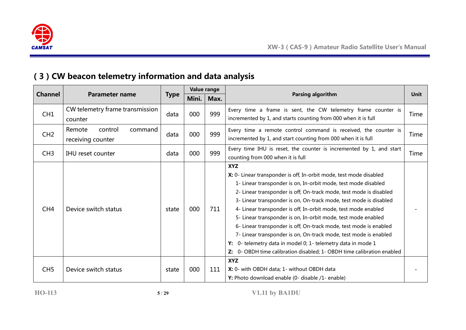

## **(3)CW beacon telemetry information and data analysis**

|                 |                                                   |             | Value range |      |                                                                                                                                                                                                                                                                                                                                                                                                                                                                                                                                                                                                                                                                                                                        |      |
|-----------------|---------------------------------------------------|-------------|-------------|------|------------------------------------------------------------------------------------------------------------------------------------------------------------------------------------------------------------------------------------------------------------------------------------------------------------------------------------------------------------------------------------------------------------------------------------------------------------------------------------------------------------------------------------------------------------------------------------------------------------------------------------------------------------------------------------------------------------------------|------|
| <b>Channel</b>  | <b>Parameter name</b>                             | <b>Type</b> | Mini.       | Max. | Parsing algorithm                                                                                                                                                                                                                                                                                                                                                                                                                                                                                                                                                                                                                                                                                                      | Unit |
| CH1             | CW telemetry frame transmission<br>counter        | data        | 000         | 999  | Every time a frame is sent, the CW telemetry frame counter is<br>incremented by 1, and starts counting from 000 when it is full                                                                                                                                                                                                                                                                                                                                                                                                                                                                                                                                                                                        | Time |
| CH2             | Remote<br>control<br>command<br>receiving counter | data        | 000         | 999  | Every time a remote control command is received, the counter is<br>incremented by 1, and start counting from 000 when it is full                                                                                                                                                                                                                                                                                                                                                                                                                                                                                                                                                                                       | Time |
| CH3             | <b>IHU</b> reset counter                          | data        | 000         | 999  | Every time IHU is reset, the counter is incremented by 1, and start<br>counting from 000 when it is full                                                                                                                                                                                                                                                                                                                                                                                                                                                                                                                                                                                                               | Time |
| CH <sub>4</sub> | Device switch status                              | state       | 000         | 711  | <b>XYZ</b><br>X: 0- Linear transponder is off, In-orbit mode, test mode disabled<br>1- Linear transponder is on, In-orbit mode, test mode disabled<br>2- Linear transponder is off, On-track mode, test mode is disabled<br>3- Linear transponder is on, On-track mode, test mode is disabled<br>4- Linear transponder is off, In-orbit mode, test mode enabled<br>5- Linear transponder is on, In-orbit mode, test mode enabled<br>6- Linear transponder is off, On-track mode, test mode is enabled<br>7- Linear transponder is on, On-track mode, test mode is enabled<br>0- telemetry data in model 0; 1- telemetry data in mode 1<br>Y:<br>Z: 0- OBDH time calibration disabled; 1- OBDH time calibration enabled |      |
| CH <sub>5</sub> | Device switch status                              | state       | 000         | 111  | <b>XYZ</b><br>X: 0- with OBDH data; 1- without OBDH data<br>Y: Photo download enable (0- disable /1- enable)                                                                                                                                                                                                                                                                                                                                                                                                                                                                                                                                                                                                           |      |

**HO-113 5** / **29 V1.11 by BA1DU**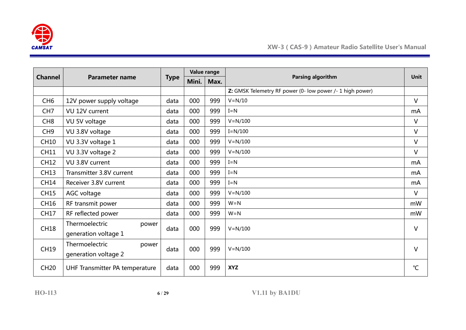

| <b>Channel</b>  | <b>Parameter name</b>          |             | Value range |      | Parsing algorithm                                         | <b>Unit</b>     |
|-----------------|--------------------------------|-------------|-------------|------|-----------------------------------------------------------|-----------------|
|                 |                                | <b>Type</b> | Mini.       | Max. |                                                           |                 |
|                 |                                |             |             |      | Z: GMSK Telemetry RF power (0- low power /- 1 high power) |                 |
| CH <sub>6</sub> | 12V power supply voltage       | data        | 000         | 999  | $V = N/10$                                                | $\vee$          |
| CH <sub>7</sub> | VU 12V current                 | data        | 000         | 999  | $I = N$                                                   | mA              |
| CH <sub>8</sub> | VU 5V voltage                  | data        | 000         | 999  | $V = N/100$                                               | $\vee$          |
| CH <sub>9</sub> | VU 3.8V voltage                | data        | 000         | 999  | $I=N/100$                                                 | $\vee$          |
| <b>CH10</b>     | VU 3.3V voltage 1              | data        | 000         | 999  | $V = N/100$                                               | $\vee$          |
| <b>CH11</b>     | VU 3.3V voltage 2              | data        | 000         | 999  | $V = N/100$                                               | $\vee$          |
| <b>CH12</b>     | VU 3.8V current                | data        | 000         | 999  | $I = N$                                                   | mA              |
| <b>CH13</b>     | Transmitter 3.8V current       | data        | 000         | 999  | $I = N$                                                   | mA              |
| <b>CH14</b>     | Receiver 3.8V current          | data        | 000         | 999  | $I = N$                                                   | mA              |
| <b>CH15</b>     | AGC voltage                    | data        | 000         | 999  | $V = N/100$                                               | $\vee$          |
| CH16            | RF transmit power              | data        | 000         | 999  | $W = N$                                                   | mW              |
| <b>CH17</b>     | RF reflected power             | data        | 000         | 999  | $W = N$                                                   | mW              |
| <b>CH18</b>     | Thermoelectric<br>power        | data        | 000         | 999  | $V = N/100$                                               | V               |
|                 | generation voltage 1           |             |             |      |                                                           |                 |
| <b>CH19</b>     | Thermoelectric<br>power        |             | 000         | 999  | $V = N/100$                                               | $\vee$          |
|                 | generation voltage 2           | data        |             |      |                                                           |                 |
| <b>CH20</b>     | UHF Transmitter PA temperature | data        | 000         | 999  | <b>XYZ</b>                                                | $\rm ^{\circ}C$ |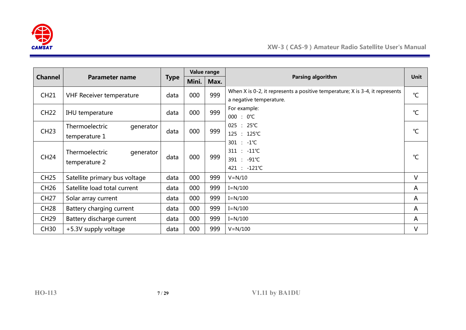

|                |                                               |      | Value range |                   |                                                                                                         |               |
|----------------|-----------------------------------------------|------|-------------|-------------------|---------------------------------------------------------------------------------------------------------|---------------|
| <b>Channel</b> | <b>Parameter name</b><br><b>Type</b><br>Mini. |      | Max.        | Parsing algorithm | <b>Unit</b>                                                                                             |               |
| <b>CH21</b>    | <b>VHF Receiver temperature</b>               | data | 000         | 999               | When X is 0-2, it represents a positive temperature; X is 3-4, it represents<br>a negative temperature. | $^{\circ}C$   |
| <b>CH22</b>    | IHU temperature                               | data | 000         | 999               | For example:<br>$000 : 0^{\circ}C$                                                                      | $^{\circ}C$   |
| <b>CH23</b>    | Thermoelectric<br>generator<br>temperature 1  | data | 000         | 999               | $025 : 25^{\circ}C$<br>125 : 125℃                                                                       | $\mathcal{C}$ |
| <b>CH24</b>    | Thermoelectric<br>generator<br>temperature 2  | data | 000         | 999               | $301 : -1^{\circ}C$<br>$311 : -11^{\circ}C$<br>391 : -91℃<br>421 : -121℃                                | $^{\circ}C$   |
| <b>CH25</b>    | Satellite primary bus voltage                 | data | 000         | 999               | $V = N/10$                                                                                              | V             |
| <b>CH26</b>    | Satellite load total current                  | data | 000         | 999               | $I = N/100$                                                                                             | A             |
| <b>CH27</b>    | Solar array current                           | data | 000         | 999               | $I=N/100$                                                                                               | A             |
| <b>CH28</b>    | Battery charging current                      | data | 000         | 999               | $I = N/100$                                                                                             | A             |
| <b>CH29</b>    | Battery discharge current                     | data | 000         | 999               | $I = N/100$                                                                                             | A             |
| <b>CH30</b>    | +5.3V supply voltage                          | data | 000         | 999               | $V = N/100$                                                                                             | V             |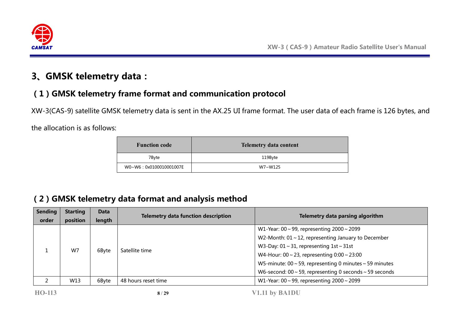

## **3、GMSK telemetry data:**

## **(1)GMSK telemetry frame format and communication protocol**

XW-3(CAS-9) satellite GMSK telemetry data is sent in the AX.25 UI frame format. The user data of each frame is 126 bytes, and

the allocation is as follows:

| <b>Function code</b>   | <b>Telemetry data content</b> |
|------------------------|-------------------------------|
| 7Byte                  | 119Byte                       |
| W0~W6:0x0100010001007E | W7~W125                       |

## **(2)GMSK telemetry data format and analysis method**

| <b>Sending</b> | <b>Starting</b> | <b>Data</b> | <b>Telemetry data function description</b>             | Telemetry data parsing algorithm                                   |
|----------------|-----------------|-------------|--------------------------------------------------------|--------------------------------------------------------------------|
| order          | position        | length      |                                                        |                                                                    |
|                |                 |             |                                                        | W1-Year: $00 \sim 99$ , representing $2000 \sim 2099$              |
|                |                 |             |                                                        | W2-Month: $01 \sim 12$ , representing January to December          |
|                |                 | 6Byte       | Satellite time                                         | W3-Day: $01 \sim 31$ , representing $1st \sim 31st$                |
| W7             |                 |             | W4-Hour: $00 \sim 23$ , representing $0:00 \sim 23:00$ |                                                                    |
|                |                 |             |                                                        | W5-minute: $00 \sim 59$ , representing 0 minutes $\sim 59$ minutes |
|                |                 |             |                                                        | W6-second: $00 \sim 59$ , representing 0 seconds $\sim 59$ seconds |
|                | W13             | 6Byte       | 48 hours reset time                                    | W1-Year: 00 ~ 99, representing $2000 \sim 2099$                    |
|                |                 |             |                                                        |                                                                    |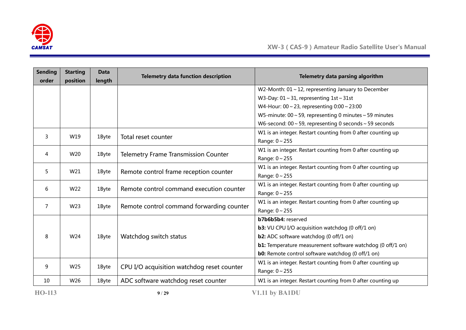

| <b>Sending</b><br>order | <b>Starting</b><br>position | Data<br>length | <b>Telemetry data function description</b>  | Telemetry data parsing algorithm                                   |
|-------------------------|-----------------------------|----------------|---------------------------------------------|--------------------------------------------------------------------|
|                         |                             |                |                                             | W2-Month: $01 \sim 12$ , representing January to December          |
|                         |                             |                |                                             | W3-Day: $01 \sim 31$ , representing $1st \sim 31st$                |
|                         |                             |                |                                             | W4-Hour: $00 \sim 23$ , representing $0:00 \sim 23:00$             |
|                         |                             |                |                                             | W5-minute: $00 \sim 59$ , representing 0 minutes $\sim 59$ minutes |
|                         |                             |                |                                             | W6-second: $00 \sim 59$ , representing 0 seconds $\sim 59$ seconds |
|                         |                             |                |                                             | W1 is an integer. Restart counting from 0 after counting up        |
| 3                       | W19                         | 1Byte          | Total reset counter                         | Range: $0 \sim 255$                                                |
| 4                       | W20                         | 1Byte          |                                             | W1 is an integer. Restart counting from 0 after counting up        |
|                         |                             |                | <b>Telemetry Frame Transmission Counter</b> | Range: $0 \sim 255$                                                |
| 5                       | W21                         | 1Byte          | Remote control frame reception counter      | W1 is an integer. Restart counting from 0 after counting up        |
|                         |                             |                |                                             | Range: $0 \sim 255$                                                |
| 6                       | W <sub>22</sub>             | 1Byte          | Remote control command execution counter    | W1 is an integer. Restart counting from 0 after counting up        |
|                         |                             |                |                                             | Range: 0~255                                                       |
| $\overline{7}$          | W23                         | 1Byte          | Remote control command forwarding counter   | W1 is an integer. Restart counting from 0 after counting up        |
|                         |                             |                |                                             | Range: 0~255                                                       |
|                         |                             |                |                                             | b7b6b5b4: reserved                                                 |
|                         |                             |                |                                             | <b>b3:</b> VU CPU I/O acquisition watchdog (0 off/1 on)            |
| 8                       | W24                         | 1Byte          | Watchdog switch status                      | <b>b2:</b> ADC software watchdog (0 off/1 on)                      |
|                         |                             |                |                                             | <b>b1:</b> Temperature measurement software watchdog (0 off/1 on)  |
|                         |                             |                |                                             | <b>b0:</b> Remote control software watchdog (0 off/1 on)           |
| 9                       | W25<br>1Byte                |                | CPU I/O acquisition watchdog reset counter  | W1 is an integer. Restart counting from 0 after counting up        |
|                         |                             |                |                                             | Range: $0 \sim 255$                                                |
| 10                      | W26                         | 1Byte          | ADC software watchdog reset counter         | W1 is an integer. Restart counting from 0 after counting up        |

**HO-113 9** / **29 V1.11 by BA1DU**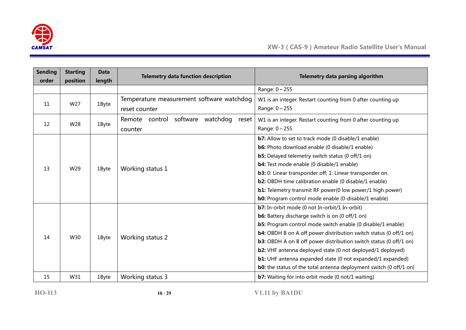

| <b>Sending</b><br>order | <b>Starting</b><br>position | <b>Data</b><br>length | <b>Telemetry data function description</b>                 | Telemetry data parsing algorithm                                                                                                                                                                                                                                                                                                                                                                                                                                                                                                                             |
|-------------------------|-----------------------------|-----------------------|------------------------------------------------------------|--------------------------------------------------------------------------------------------------------------------------------------------------------------------------------------------------------------------------------------------------------------------------------------------------------------------------------------------------------------------------------------------------------------------------------------------------------------------------------------------------------------------------------------------------------------|
|                         |                             |                       |                                                            | Range: 0~255                                                                                                                                                                                                                                                                                                                                                                                                                                                                                                                                                 |
| 11                      | W27                         | 1Byte                 | Temperature measurement software watchdog<br>reset counter | W1 is an integer. Restart counting from 0 after counting up<br>Range: $0 \sim 255$                                                                                                                                                                                                                                                                                                                                                                                                                                                                           |
| 12                      | W28                         | 1Byte                 | software<br>watchdog<br>Remote control<br>reset<br>counter | W1 is an integer. Restart counting from 0 after counting up<br>Range: $0 \sim 255$                                                                                                                                                                                                                                                                                                                                                                                                                                                                           |
| 13                      | W29                         | 1Byte                 | Working status 1                                           | <b>b7:</b> Allow to set to track mode (0 disable/1 enable)<br>b6: Photo download enable (0 disable/1 enable)<br><b>b5:</b> Delayed telemetry switch status (0 off/1 on)<br><b>b4:</b> Test mode enable (0 disable/1 enable)<br>b3: 0: Linear transponder off; 1: Linear transponder on.<br><b>b2:</b> OBDH time calibration enable (0 disable/1 enable)<br><b>b1:</b> Telemetry transmit RF power(0 low power/1 high power)<br><b>b0:</b> Program control mode enable (0-disable/1 enable)                                                                   |
| 14                      | W30                         | 1Byte                 | Working status 2                                           | <b>b7:</b> In-orbit mode (0 not In-orbit/1 In-orbit)<br><b>b6:</b> Battery discharge switch is on (0 off/1 on)<br><b>b5:</b> Program control mode switch enable (0 disable/1 enable)<br><b>b4:</b> OBDH B on A off power distribution switch status (0 off/1 on)<br><b>b3:</b> OBDH A on B off power distribution switch status (0 off/1 on)<br>b2: VHF antenna deployed state (0 not deployed/1 deployed)<br><b>b1:</b> UHF antenna expanded state (0 not expanded/1 expanded)<br><b>b0:</b> the status of the total antenna deployment switch (0 off/1 on) |
| 15                      | W31                         | 1Byte                 | Working status 3                                           | <b>b7:</b> Waiting for into orbit mode (0 not/1 waiting)                                                                                                                                                                                                                                                                                                                                                                                                                                                                                                     |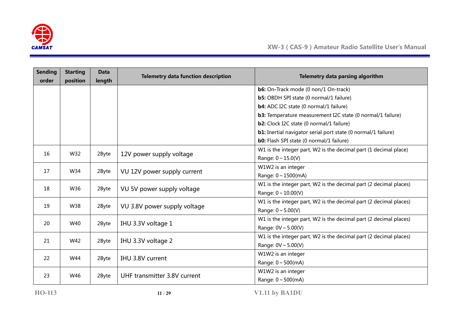

| <b>Sending</b><br>order | <b>Starting</b><br>position | Data<br>length | <b>Telemetry data function description</b> | Telemetry data parsing algorithm                                     |
|-------------------------|-----------------------------|----------------|--------------------------------------------|----------------------------------------------------------------------|
|                         |                             |                |                                            | <b>b6:</b> On-Track mode (0 non/1 On-track)                          |
|                         |                             |                |                                            | <b>b5:</b> OBDH SPI state (0 normal/1 failure)                       |
|                         |                             |                |                                            | <b>b4:</b> ADC I2C state (0 normal/1 failure)                        |
|                         |                             |                |                                            | <b>b3:</b> Temperature measurement I2C state (0 normal/1 failure)    |
|                         |                             |                |                                            | <b>b2:</b> Clock I2C state (0 normal/1 failure)                      |
|                         |                             |                |                                            | <b>b1:</b> Inertial navigator serial port state (0 normal/1 failure) |
|                         |                             |                |                                            | <b>b0:</b> Flash SPI state (0 normal/1 failure)                      |
| 16                      | W32                         | 2Byte          | 12V power supply voltage                   | W1 is the integer part, W2 is the decimal part (1 decimal place)     |
|                         |                             |                |                                            | Range: $0 \sim 15.0(V)$                                              |
| 17                      | W34                         | 2Byte          | VU 12V power supply current                | W1W2 is an integer                                                   |
|                         |                             |                |                                            | Range: 0~1500(mA)                                                    |
| 18                      | W36                         | 2Byte          | VU 5V power supply voltage                 | W1 is the integer part, W2 is the decimal part (2 decimal places)    |
|                         |                             |                |                                            | Range: $0 \sim 10.00(V)$                                             |
| 19                      | W38                         | 2Byte          | VU 3.8V power supply voltage               | W1 is the integer part, W2 is the decimal part (2 decimal places)    |
|                         |                             |                |                                            | Range: $0 \sim 5.00(V)$                                              |
| 20                      | W40                         | 2Byte          | IHU 3.3V voltage 1                         | W1 is the integer part, W2 is the decimal part (2 decimal places)    |
|                         |                             |                |                                            | Range: $0V \sim 5.00(V)$                                             |
| 21                      | W42                         | 2Byte          | IHU 3.3V voltage 2                         | W1 is the integer part, W2 is the decimal part (2 decimal places)    |
|                         |                             |                |                                            | Range: $0V \sim 5.00(V)$                                             |
| 22                      | W44                         | 2Byte          |                                            | W1W2 is an integer                                                   |
|                         |                             |                | IHU 3.8V current                           | Range: $0 \sim 500$ (mA)                                             |
| 23                      | W46                         | 2Byte          | UHF transmitter 3.8V current               | W1W2 is an integer                                                   |
|                         |                             |                |                                            | Range: $0 \sim 500$ (mA)                                             |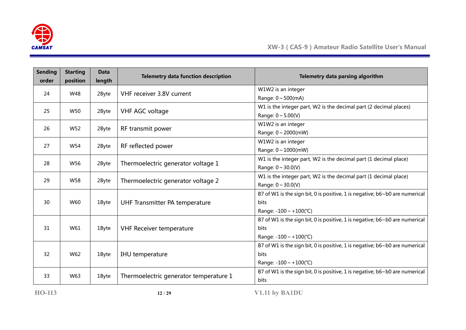

| <b>Sending</b><br>order | <b>Starting</b><br>position | <b>Data</b><br>length | <b>Telemetry data function description</b> | Telemetry data parsing algorithm                                                   |
|-------------------------|-----------------------------|-----------------------|--------------------------------------------|------------------------------------------------------------------------------------|
| 24                      | W48                         | 2Byte                 | VHF receiver 3.8V current                  | W1W2 is an integer                                                                 |
|                         |                             |                       |                                            | Range: $0 \sim 500$ (mA)                                                           |
| 25                      | W50                         | 2Byte                 | VHF AGC voltage                            | W1 is the integer part, W2 is the decimal part (2 decimal places)                  |
|                         |                             |                       |                                            | Range: $0 \sim 5.00(V)$                                                            |
| 26                      | W52                         | 2Byte                 | RF transmit power                          | W1W2 is an integer                                                                 |
|                         |                             |                       |                                            | Range: $0 \sim 2000$ (mW)                                                          |
| 27                      | W54                         | 2Byte                 | RF reflected power                         | W1W2 is an integer                                                                 |
|                         |                             |                       |                                            | Range: 0~1000(mW)                                                                  |
| 28                      | W56                         | 2Byte                 |                                            | W1 is the integer part, W2 is the decimal part (1 decimal place)                   |
|                         |                             |                       | Thermoelectric generator voltage 1         | Range: $0 \sim 30.0(V)$                                                            |
| 29                      | W <sub>58</sub>             |                       |                                            | W1 is the integer part, W2 is the decimal part (1 decimal place)                   |
|                         |                             | 2Byte                 | Thermoelectric generator voltage 2         | Range: $0 \sim 30.0(V)$                                                            |
|                         |                             |                       |                                            | B7 of W1 is the sign bit, 0 is positive, 1 is negative; b6~b0 are numerical        |
| 30                      | W60                         | 1Byte                 | UHF Transmitter PA temperature             | <b>bits</b>                                                                        |
|                         |                             |                       |                                            | Range: $-100 \sim +100$ (°C)                                                       |
|                         |                             |                       |                                            | B7 of W1 is the sign bit, 0 is positive, 1 is negative; b6~b0 are numerical        |
| 31                      | W61                         | 1Byte                 | <b>VHF Receiver temperature</b>            | <b>bits</b>                                                                        |
|                         |                             |                       |                                            | Range: $-100 \sim +100$ (°C)                                                       |
|                         |                             |                       |                                            | B7 of W1 is the sign bit, 0 is positive, 1 is negative; $b6 \sim b0$ are numerical |
| 32                      | W62                         | 1Byte                 | IHU temperature                            | <b>bits</b>                                                                        |
|                         |                             |                       |                                            | Range: $-100 \sim +100$ (°C)                                                       |
| 33                      |                             |                       |                                            | B7 of W1 is the sign bit, 0 is positive, 1 is negative; b6~b0 are numerical        |
|                         | W63                         | 1Byte                 | Thermoelectric generator temperature 1     | <b>bits</b>                                                                        |

**HO-113 12** / **29 V1.11 by BA1DU**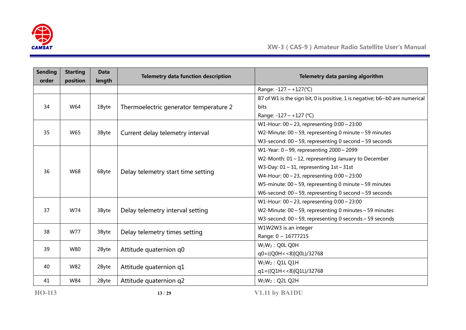

| <b>Sending</b> | <b>Starting</b> | <b>Data</b>                                        | <b>Telemetry data function description</b>          | Telemetry data parsing algorithm                                            |
|----------------|-----------------|----------------------------------------------------|-----------------------------------------------------|-----------------------------------------------------------------------------|
| order          | position        | length                                             |                                                     |                                                                             |
|                |                 |                                                    |                                                     | Range: -127 ~ +127(°C)                                                      |
|                |                 |                                                    |                                                     | B7 of W1 is the sign bit, 0 is positive, 1 is negative; b6~b0 are numerical |
| 34             | W64             | 1Byte                                              | Thermoelectric generator temperature 2              | bits                                                                        |
|                |                 |                                                    |                                                     | Range: -127 ~ +127 (°C)                                                     |
|                |                 |                                                    |                                                     | W1-Hour: $00 \sim 23$ , representing $0:00 \sim 23:00$                      |
| 35             | W65             | 3Byte                                              | Current delay telemetry interval                    | W2-Minute: $00 \sim 59$ , representing 0 minute $\sim 59$ minutes           |
|                |                 |                                                    |                                                     | W3-second: $00 \sim 59$ , representing 0 second $\sim 59$ seconds           |
|                |                 |                                                    |                                                     | W1-Year: $0 \sim 99$ , representing $2000 \sim 2099$                        |
|                |                 |                                                    |                                                     | W2-Month: $01 \sim 12$ , representing January to December                   |
|                |                 | W68<br>Delay telemetry start time setting<br>6Byte | W3-Day: $01 \sim 31$ , representing $1st \sim 31st$ |                                                                             |
| 36             |                 |                                                    |                                                     | W4-Hour: $00 \sim 23$ , representing $0:00 \sim 23:00$                      |
|                |                 |                                                    |                                                     | W5-minute: $00 \sim 59$ , representing 0 minute $\sim 59$ minutes           |
|                |                 |                                                    |                                                     | W6-second: 00 $\sim$ 59, representing 0 second $\sim$ 59 seconds            |
|                |                 |                                                    |                                                     | W1-Hour: $00 \sim 23$ , representing $0:00 \sim 23:00$                      |
| 37             | W74             | 3Byte                                              | Delay telemetry interval setting                    | W2-Minute: $00 \sim 59$ , representing 0 minutes $\sim 59$ minutes          |
|                |                 |                                                    |                                                     | W3-second: $00 \sim 59$ , representing 0 seconds $\sim 59$ seconds          |
| 38             | W77             |                                                    |                                                     | W1W2W3 is an integer                                                        |
|                |                 | 3Byte                                              | Delay telemetry times setting                       | Range: $0 \sim 16777215$                                                    |
|                |                 |                                                    |                                                     | $W_1W_2$ : Q0L Q0H                                                          |
| 39             | W80             | 2Byte                                              | Attitude quaternion q0                              | q0=((Q0H < < 8) Q0L)/32768                                                  |
| 40             | W82             |                                                    |                                                     | $W_1W_2$ : Q1L Q1H                                                          |
|                |                 | 2Byte                                              | Attitude quaternion q1                              | $q1 = ((Q1H < 8)   Q1L)/32768$                                              |
| 41             | W84             | 2Byte                                              | Attitude quaternion q2                              | $W_1W_2$ : Q2L Q2H                                                          |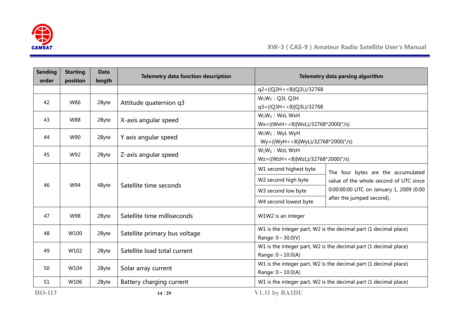

| <b>Sending</b><br>order | <b>Starting</b><br>position | <b>Data</b><br>length | <b>Telemetry data function description</b> | Telemetry data parsing algorithm        |                                                                  |  |  |  |  |  |  |
|-------------------------|-----------------------------|-----------------------|--------------------------------------------|-----------------------------------------|------------------------------------------------------------------|--|--|--|--|--|--|
|                         |                             |                       |                                            | q2=((Q2H < < 8) Q2L)/32768              |                                                                  |  |  |  |  |  |  |
| 42                      | W86                         | 2Byte                 | Attitude quaternion q3                     | $W_1W_2$ : Q3L Q3H                      |                                                                  |  |  |  |  |  |  |
|                         |                             |                       |                                            | q3=((Q3H < < 8) Q3L)/32768              |                                                                  |  |  |  |  |  |  |
| 43                      | <b>W88</b>                  | 2Byte                 | X-axis angular speed                       | $W_1W_2$ : WxL WxH                      |                                                                  |  |  |  |  |  |  |
|                         |                             |                       |                                            | $Wx = ((WxH < 8) WxL)/32768*2000(°/s))$ |                                                                  |  |  |  |  |  |  |
| 44                      | W90                         | 2Byte                 | Y axis angular speed                       | $W_1W_2$ : WyL WyH                      |                                                                  |  |  |  |  |  |  |
|                         |                             |                       |                                            | $Wy=((WyH << 8) WyL)/32768*2000(°/s))$  |                                                                  |  |  |  |  |  |  |
| 45                      | W92                         | 2Byte                 | Z-axis angular speed                       | $W_1W_2$ : WzL WzH                      |                                                                  |  |  |  |  |  |  |
|                         |                             |                       |                                            | Wz=((WzH<<8) WzL)/32768*2000(°/s)       |                                                                  |  |  |  |  |  |  |
|                         |                             |                       |                                            | W1 second highest byte                  | The four bytes are the accumulated                               |  |  |  |  |  |  |
| 46                      | W94                         | 4Byte                 | Satellite time seconds                     | W2 second high byte                     | value of the whole second of UTC since                           |  |  |  |  |  |  |
|                         |                             |                       |                                            | W3 second low byte                      | 0:00:00:00 UTC on January 1, 2009 (0:00                          |  |  |  |  |  |  |
|                         |                             |                       |                                            | W4 second lowest byte                   | after the jumped second).                                        |  |  |  |  |  |  |
| 47                      | W98                         | 2Byte                 | Satellite time milliseconds                | W1W2 is an integer                      |                                                                  |  |  |  |  |  |  |
| 48                      | W100                        | 2Byte                 | Satellite primary bus voltage              |                                         | W1 is the integer part, W2 is the decimal part (1 decimal place) |  |  |  |  |  |  |
|                         |                             |                       |                                            | Range: $0 \sim 30.0(V)$                 |                                                                  |  |  |  |  |  |  |
| 49                      | W102                        | 2Byte                 | Satellite load total current               |                                         | W1 is the integer part, W2 is the decimal part (1 decimal place) |  |  |  |  |  |  |
|                         |                             |                       |                                            | Range: $0 \sim 10.0(A)$                 |                                                                  |  |  |  |  |  |  |
| 50                      | W104                        | 2Byte                 | Solar array current                        |                                         | W1 is the integer part, W2 is the decimal part (1 decimal place) |  |  |  |  |  |  |
|                         |                             |                       |                                            | Range: $0 \sim 10.0(A)$                 |                                                                  |  |  |  |  |  |  |
| 51                      | W106                        | 2Byte                 | Battery charging current                   |                                         | W1 is the integer part, W2 is the decimal part (1 decimal place) |  |  |  |  |  |  |
| <b>HO-113</b>           |                             |                       | 14/29                                      | V1.11 by BA1DU                          |                                                                  |  |  |  |  |  |  |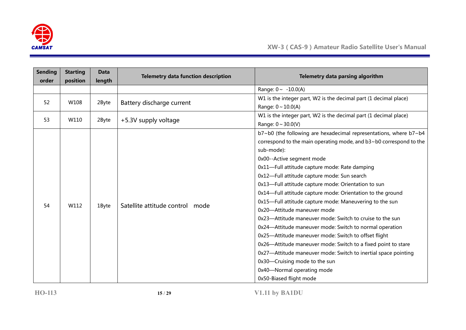

| <b>Sending</b><br>order | <b>Starting</b><br>position | <b>Data</b><br>length | <b>Telemetry data function description</b> | Telemetry data parsing algorithm                                                                                                                                                                                                                                                                                                                                                                                                                                                                                                                                                                                                                                                                                                                                                                                                                                                                              |
|-------------------------|-----------------------------|-----------------------|--------------------------------------------|---------------------------------------------------------------------------------------------------------------------------------------------------------------------------------------------------------------------------------------------------------------------------------------------------------------------------------------------------------------------------------------------------------------------------------------------------------------------------------------------------------------------------------------------------------------------------------------------------------------------------------------------------------------------------------------------------------------------------------------------------------------------------------------------------------------------------------------------------------------------------------------------------------------|
|                         |                             |                       |                                            | Range: $0 \sim -10.0(A)$                                                                                                                                                                                                                                                                                                                                                                                                                                                                                                                                                                                                                                                                                                                                                                                                                                                                                      |
| 52                      | W108                        | 2Byte                 | Battery discharge current                  | W1 is the integer part, W2 is the decimal part (1 decimal place)<br>Range: $0 \sim 10.0(A)$                                                                                                                                                                                                                                                                                                                                                                                                                                                                                                                                                                                                                                                                                                                                                                                                                   |
| 53                      | W110                        | 2Byte                 | +5.3V supply voltage                       | W1 is the integer part, W2 is the decimal part (1 decimal place)<br>Range: $0 \sim 30.0(V)$                                                                                                                                                                                                                                                                                                                                                                                                                                                                                                                                                                                                                                                                                                                                                                                                                   |
| 54                      | W112                        | 1Byte                 | Satellite attitude control mode            | b7~b0 (the following are hexadecimal representations, where b7~b4<br>correspond to the main operating mode, and b3~b0 correspond to the<br>sub-mode):<br>0x00--Active segment mode<br>0x11-Full attitude capture mode: Rate damping<br>0x12-Full attitude capture mode: Sun search<br>0x13-Full attitude capture mode: Orientation to sun<br>0x14-Full attitude capture mode: Orientation to the ground<br>0x15-Full attitude capture mode: Maneuvering to the sun<br>0x20-Attitude maneuver mode<br>0x23-Attitude maneuver mode: Switch to cruise to the sun<br>0x24-Attitude maneuver mode: Switch to normal operation<br>0x25-Attitude maneuver mode: Switch to offset flight<br>0x26-Attitude maneuver mode: Switch to a fixed point to stare<br>0x27-Attitude maneuver mode: Switch to inertial space pointing<br>0x30-Cruising mode to the sun<br>0x40-Normal operating mode<br>0x50-Biased flight mode |

**HO-113 15** / **29 V1.11 by BA1DU**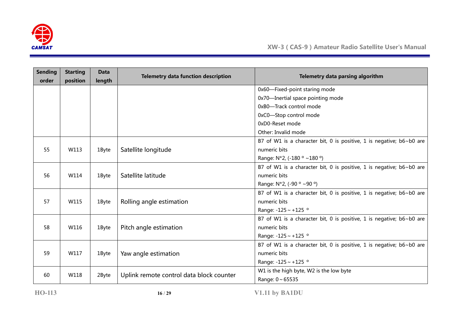

| <b>Sending</b><br>order | <b>Starting</b><br>position | <b>Data</b><br>length | <b>Telemetry data function description</b> | Telemetry data parsing algorithm                                     |
|-------------------------|-----------------------------|-----------------------|--------------------------------------------|----------------------------------------------------------------------|
|                         |                             |                       |                                            | 0x60-Fixed-point staring mode                                        |
|                         |                             |                       |                                            | 0x70-Inertial space pointing mode                                    |
|                         |                             |                       |                                            | 0xB0-Track control mode                                              |
|                         |                             |                       |                                            | 0xC0-Stop control mode                                               |
|                         |                             |                       |                                            | 0xD0-Reset mode                                                      |
|                         |                             |                       |                                            | Other: Invalid mode                                                  |
|                         |                             |                       |                                            | B7 of W1 is a character bit, 0 is positive, 1 is negative; b6~b0 are |
| 55                      | W113                        | 1Byte                 | Satellite longitude                        | numeric bits                                                         |
|                         |                             |                       |                                            | Range: N*2, (-180 ° ~180 °)                                          |
|                         |                             |                       |                                            | B7 of W1 is a character bit, 0 is positive, 1 is negative; b6~b0 are |
| 56                      | W114                        | 1Byte                 | Satellite latitude                         | numeric bits                                                         |
|                         |                             |                       |                                            | Range: $N*2$ , (-90 $\circ$ ~90 $\circ$ )                            |
|                         |                             |                       |                                            | B7 of W1 is a character bit, 0 is positive, 1 is negative; b6~b0 are |
| 57                      | W115                        | 1Byte                 | Rolling angle estimation                   | numeric bits                                                         |
|                         |                             |                       |                                            | Range: -125 ~ +125 °                                                 |
|                         |                             |                       |                                            | B7 of W1 is a character bit, 0 is positive, 1 is negative; b6~b0 are |
| 58                      | W116                        | 1Byte                 | Pitch angle estimation                     | numeric bits                                                         |
|                         |                             |                       |                                            | Range: -125 ~ +125 °                                                 |
|                         |                             |                       |                                            | B7 of W1 is a character bit, 0 is positive, 1 is negative; b6~b0 are |
| 59                      | W117                        | 1Byte                 | Yaw angle estimation                       | numeric bits                                                         |
|                         |                             |                       |                                            | Range: $-125 \sim +125$ °                                            |
| 60                      | W118                        | 2Byte                 | Uplink remote control data block counter   | W1 is the high byte, W2 is the low byte                              |
|                         |                             |                       |                                            | Range: $0 \sim 65535$                                                |

**HO-113 16** / **29 V1.11 by BA1DU**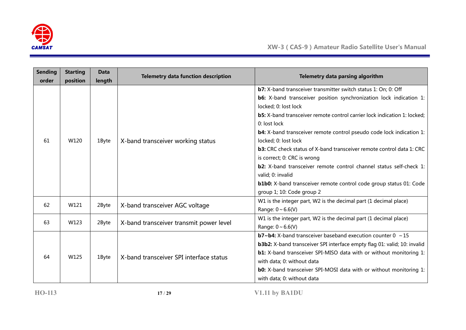

| <b>Sending</b> | <b>Starting</b> | <b>Data</b> | <b>Telemetry data function description</b> | Telemetry data parsing algorithm                                                |  |  |  |  |  |
|----------------|-----------------|-------------|--------------------------------------------|---------------------------------------------------------------------------------|--|--|--|--|--|
| order          | position        | length      |                                            |                                                                                 |  |  |  |  |  |
|                |                 |             |                                            | b7: X-band transceiver transmitter switch status 1: On; 0: Off                  |  |  |  |  |  |
|                |                 |             |                                            | <b>b6:</b> X-band transceiver position synchronization lock indication 1:       |  |  |  |  |  |
|                |                 |             |                                            | locked; 0: lost lock                                                            |  |  |  |  |  |
|                |                 |             |                                            | <b>b5:</b> X-band transceiver remote control carrier lock indication 1: locked; |  |  |  |  |  |
|                |                 |             |                                            | 0: lost lock                                                                    |  |  |  |  |  |
|                |                 |             |                                            | <b>b4:</b> X-band transceiver remote control pseudo code lock indication 1:     |  |  |  |  |  |
| 61             | W120            | 1Byte       | X-band transceiver working status          | locked; 0: lost lock                                                            |  |  |  |  |  |
|                |                 |             |                                            | <b>b3:</b> CRC check status of X-band transceiver remote control data 1: CRC    |  |  |  |  |  |
|                |                 |             |                                            | is correct; 0: CRC is wrong                                                     |  |  |  |  |  |
|                |                 |             |                                            | <b>b2:</b> X-band transceiver remote control channel status self-check 1:       |  |  |  |  |  |
|                |                 |             |                                            | valid; 0: invalid                                                               |  |  |  |  |  |
|                |                 |             |                                            | <b>b1b0:</b> X-band transceiver remote control code group status 01: Code       |  |  |  |  |  |
|                |                 |             |                                            | group 1; 10: Code group 2                                                       |  |  |  |  |  |
| 62             | W121            |             |                                            | W1 is the integer part, W2 is the decimal part (1 decimal place)                |  |  |  |  |  |
|                |                 | 2Byte       | X-band transceiver AGC voltage             | Range: $0 \sim 6.6(V)$                                                          |  |  |  |  |  |
|                | W123            |             |                                            | W1 is the integer part, W2 is the decimal part (1 decimal place)                |  |  |  |  |  |
| 63             |                 | 2Byte       | X-band transceiver transmit power level    | Range: $0 \sim 6.6(V)$                                                          |  |  |  |  |  |
|                |                 |             |                                            | <b>b7~b4:</b> X-band transceiver baseband execution counter $0 \sim 15$         |  |  |  |  |  |
|                |                 |             |                                            | <b>b3b2:</b> X-band transceiver SPI interface empty flag 01: valid; 10: invalid |  |  |  |  |  |
| 64             | W125            |             |                                            | <b>b1:</b> X-band transceiver SPI-MISO data with or without monitoring 1:       |  |  |  |  |  |
|                |                 | 1Byte       | X-band transceiver SPI interface status    | with data; 0: without data                                                      |  |  |  |  |  |
|                |                 |             |                                            | <b>b0:</b> X-band transceiver SPI-MOSI data with or without monitoring 1:       |  |  |  |  |  |
|                |                 |             |                                            | with data; 0: without data                                                      |  |  |  |  |  |

**HO-113 17** / **29 V1.11 by BA1DU**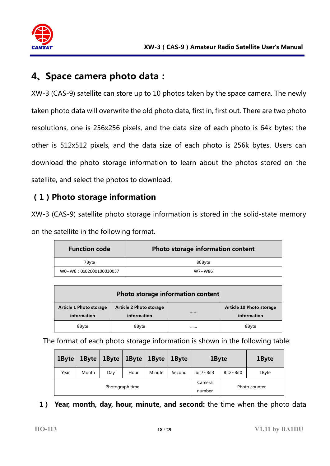

## **4、Space camera photo data:**

XW-3 (CAS-9) satellite can store up to 10 photos taken by the space camera. The newly taken photo data will overwrite the old photo data, first in, first out. There are two photo resolutions, one is 256x256 pixels, and the data size of each photo is 64k bytes; the other is 512x512 pixels, and the data size of each photo is 256k bytes. Users can download the photo storage information to learn about the photos stored on the satellite, and select the photos to download.

#### **(1)Photo storage information**

XW-3 (CAS-9) satellite photo storage information is stored in the solid-state memory on the satellite in the following format.

| <b>Function code</b>   | Photo storage information content |
|------------------------|-----------------------------------|
| 7Bvte                  | 80Byte                            |
| W0~W6:0x02000100010057 | W7~W86                            |

| Photo storage information content             |                                               |  |                                         |  |  |  |  |  |  |
|-----------------------------------------------|-----------------------------------------------|--|-----------------------------------------|--|--|--|--|--|--|
| <b>Article 1 Photo storage</b><br>information | <b>Article 2 Photo storage</b><br>information |  | Article 10 Photo storage<br>information |  |  |  |  |  |  |
| 8Byte                                         | 8Byte                                         |  | 8Byte                                   |  |  |  |  |  |  |

The format of each photo storage information is shown in the following table:

| 1Byte | 1 Byte | $\vert$ 1Byte $\vert$ 1Byte $\vert$ |                 | 1Byte  | 1Byte  | 1Byte     |                  | 1Byte |
|-------|--------|-------------------------------------|-----------------|--------|--------|-----------|------------------|-------|
| Year  | Month  | Day                                 | Hour            | Minute | Second | bit7~Bit3 | $Bit2~\sim$ Bit0 | 1Byte |
|       |        |                                     | Photograph time |        | Camera |           | Photo counter    |       |
|       |        |                                     |                 | number |        |           |                  |       |

#### **1) Year, month, day, hour, minute, and second:** the time when the photo data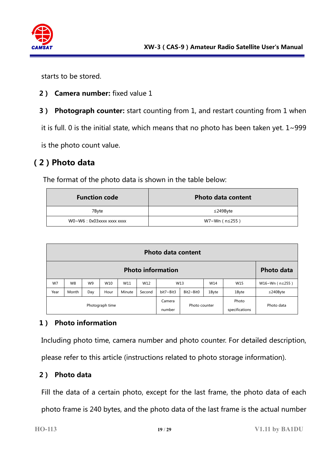

starts to be stored.

- **2) Camera number:** fixed value 1
- **3) Photograph counter:** start counting from 1, and restart counting from 1 when

it is full. 0 is the initial state, which means that no photo has been taken yet.  $1 \sim 999$ 

is the photo count value.

#### **(2)Photo data**

The format of the photo data is shown in the table below:

| <b>Function code</b>      | <b>Photo data content</b> |
|---------------------------|---------------------------|
| 7Byte                     | $\leq$ 249Byte            |
| WO~W6: 0x03xxxx xxxx xxxx | W7~Wn (n≤255)             |

|                 | <b>Photo data content</b>                     |     |      |        |        |                  |                  |       |                         |                |
|-----------------|-----------------------------------------------|-----|------|--------|--------|------------------|------------------|-------|-------------------------|----------------|
|                 | <b>Photo information</b><br><b>Photo data</b> |     |      |        |        |                  |                  |       |                         |                |
| W7              | W8                                            | W9  | W10  | W11    | W12    |                  | W13              | W14   | W15                     | W16~Wn (n≤255) |
| Year            | Month                                         | Day | Hour | Minute | Second | bit7~Bit3        | $Bit2 \sim Bit0$ | 1Byte | 1Byte                   | $\leq$ 240Byte |
| Photograph time |                                               |     |      |        |        | Camera<br>number | Photo counter    |       | Photo<br>specifications | Photo data     |

#### **1) Photo information**

Including photo time, camera number and photo counter. For detailed description,

please refer to this article (instructions related to photo storage information).

#### **2) Photo data**

Fill the data of a certain photo, except for the last frame, the photo data of each

photo frame is 240 bytes, and the photo data of the last frame is the actual number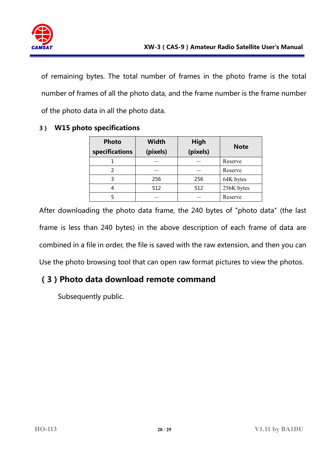

of remaining bytes. The total number of frames in the photo frame is the total number of frames of all the photo data, and the frame number is the frame number of the photo data in all the photo data.

| <b>Photo</b><br>specifications | <b>Width</b><br>(pixels) | High<br>(pixels) | <b>Note</b> |  |  |
|--------------------------------|--------------------------|------------------|-------------|--|--|
|                                |                          |                  | Reserve     |  |  |
|                                |                          |                  | Reserve     |  |  |
| 3                              | 256                      | 256              | 64K bytes   |  |  |
| 4                              | 512                      | 512              | 256K bytes  |  |  |
|                                |                          |                  | Reserve     |  |  |

#### **3) W15 photo specifications**

After downloading the photo data frame, the 240 bytes of "photo data" (the last frame is less than 240 bytes) in the above description of each frame of data are combined in a file in order, the file is saved with the raw extension, and then you can Use the photo browsing tool that can open raw format pictures to view the photos.

#### **(3)Photo data download remote command**

Subsequently public.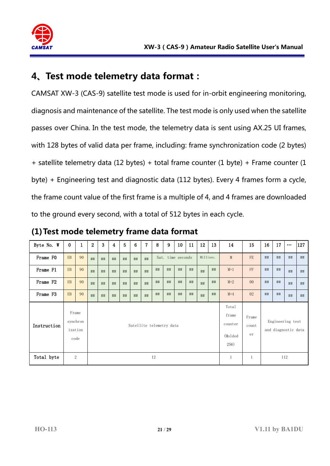

## **4、Test mode telemetry data format:**

CAMSAT XW-3 (CAS-9) satellite test mode is used for in-orbit engineering monitoring, diagnosis and maintenance of the satellite. The test mode is only used when the satellite passes over China. In the test mode, the telemetry data is sent using AX.25 UI frames, with 128 bytes of valid data per frame, including: frame synchronization code (2 bytes) + satellite telemetry data (12 bytes) + total frame counter (1 byte) + Frame counter (1 byte) + Engineering test and diagnostic data (112 bytes). Every 4 frames form a cycle, the frame count value of the first frame is a multiple of 4, and 4 frames are downloaded to the ground every second, with a total of 512 bytes in each cycle.

| Byte No. W  | $\bf{0}$                     | $\mathbf{1}$ | $\overline{2}$           | 3  | 4  | 5  | 6  | 7  | 8  | 9                 | 10 | 11                                            | 12                   | 13 | 14                                      | 15             | 16 | 17 | $\cdots$ | 127 |
|-------------|------------------------------|--------------|--------------------------|----|----|----|----|----|----|-------------------|----|-----------------------------------------------|----------------------|----|-----------------------------------------|----------------|----|----|----------|-----|
| Frame FO    | EB                           | 90           | ##                       | ## | ## | ## | ## | ## |    | Sat. time seconds |    |                                               | Millisec.            |    | M                                       | FE             | ## | ## | ##       | ##  |
| Frame F1    | EB                           | 90           | ##                       | ## | ## | ## | ## | ## | ## | ##                | ## | ##                                            | ##                   | ## | $M+1$                                   | FF             | ## | ## | ##       | ##  |
| Frame F2    | EB                           | 90           | ##                       | ## | ## | ## | ## | ## | ## | ##                | ## | ##                                            | ##                   | ## | $M+2$                                   | 0 <sup>0</sup> | ## | ## | ##       | ##  |
| Frame F3    | EB                           | 90           | ##                       | ## | ## | ## | ## | ## | ## | ##                | ## | ##                                            | ##                   | ## | $M+4$                                   | 02             | ## | ## | ##       | ##  |
| Instruction | Frame<br>synchron<br>ization | code         | Satellite telemetry data |    |    |    |    |    |    |                   |    | Total<br>frame<br>counter<br>(Molded)<br>256) | Frame<br>count<br>er |    | Engineering test<br>and diagnostic data |                |    |    |          |     |
| Total byte  |                              | 2            |                          |    |    |    |    |    | 12 |                   |    |                                               |                      |    | 1                                       | $\mathbf{1}$   |    |    | 112      |     |

**(1)Test mode telemetry frame data format**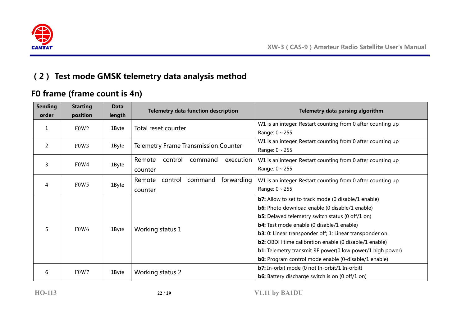

## **(2) Test mode GMSK telemetry data analysis method**

## **F0 frame (frame count is 4n)**

| <b>Sending</b><br>order | <b>Starting</b><br>position   | <b>Data</b><br>length | <b>Telemetry data function description</b>           | Telemetry data parsing algorithm                                                                                                                                                                                                                                                                                                                                                                                                                                                                         |  |  |  |  |
|-------------------------|-------------------------------|-----------------------|------------------------------------------------------|----------------------------------------------------------------------------------------------------------------------------------------------------------------------------------------------------------------------------------------------------------------------------------------------------------------------------------------------------------------------------------------------------------------------------------------------------------------------------------------------------------|--|--|--|--|
| 1                       | F <sub>0</sub> W <sub>2</sub> | 1Byte                 | Total reset counter                                  | W1 is an integer. Restart counting from 0 after counting up<br>Range: $0 \sim 255$                                                                                                                                                                                                                                                                                                                                                                                                                       |  |  |  |  |
| 2                       | F0W3                          | 1Byte                 | <b>Telemetry Frame Transmission Counter</b>          | W1 is an integer. Restart counting from 0 after counting up<br>Range: $0 \sim 255$                                                                                                                                                                                                                                                                                                                                                                                                                       |  |  |  |  |
| 3                       | F0W4                          | 1Byte                 | Remote<br>control<br>command<br>execution<br>counter | W1 is an integer. Restart counting from 0 after counting up<br>Range: $0 \sim 255$                                                                                                                                                                                                                                                                                                                                                                                                                       |  |  |  |  |
| 4                       | F <sub>0</sub> W <sub>5</sub> | 1Byte                 | command<br>forwarding<br>Remote control<br>counter   | W1 is an integer. Restart counting from 0 after counting up<br>Range: $0 \sim 255$                                                                                                                                                                                                                                                                                                                                                                                                                       |  |  |  |  |
| 5                       | F <sub>0</sub> W <sub>6</sub> | 1Byte                 | Working status 1                                     | <b>b7:</b> Allow to set to track mode (0 disable/1 enable)<br><b>b6:</b> Photo download enable (0 disable/1 enable)<br><b>b5:</b> Delayed telemetry switch status (0 off/1 on)<br><b>b4:</b> Test mode enable (0 disable/1 enable)<br><b>b3:</b> 0: Linear transponder off; 1: Linear transponder on.<br><b>b2:</b> OBDH time calibration enable (0 disable/1 enable)<br><b>b1:</b> Telemetry transmit RF power(0 low power/1 high power)<br><b>b0:</b> Program control mode enable (0-disable/1 enable) |  |  |  |  |
| 6                       | F <sub>0</sub> W <sub>7</sub> | 1Byte                 | Working status 2                                     | <b>b7:</b> In-orbit mode (0 not In-orbit/1 In-orbit)<br><b>b6:</b> Battery discharge switch is on (0 off/1 on)                                                                                                                                                                                                                                                                                                                                                                                           |  |  |  |  |

**HO-113 22** / **29 V1.11 by BA1DU**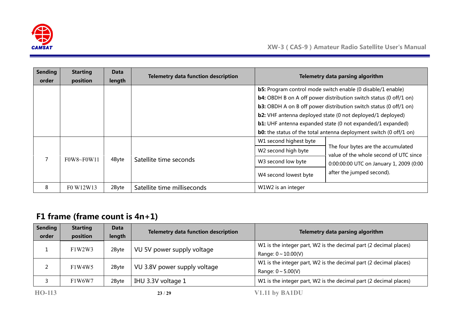

| <b>Sending</b><br>order | <b>Starting</b><br>position | Data<br>length | <b>Telemetry data function description</b> |                                                                     | Telemetry data parsing algorithm                                                                                                                                                                                                                                                                                                                                                                                                                  |
|-------------------------|-----------------------------|----------------|--------------------------------------------|---------------------------------------------------------------------|---------------------------------------------------------------------------------------------------------------------------------------------------------------------------------------------------------------------------------------------------------------------------------------------------------------------------------------------------------------------------------------------------------------------------------------------------|
|                         |                             |                |                                            |                                                                     | <b>b5:</b> Program control mode switch enable (0 disable/1 enable)<br><b>b4:</b> OBDH B on A off power distribution switch status (0 off/1 on)<br><b>b3:</b> OBDH A on B off power distribution switch status (0 off/1 on)<br><b>b2:</b> VHF antenna deployed state (0 not deployed/1 deployed)<br><b>b1:</b> UHF antenna expanded state (0 not expanded/1 expanded)<br><b>b0:</b> the status of the total antenna deployment switch (0 off/1 on) |
|                         | $F0W8 \sim F0W11$           | 4Byte          | Satellite time seconds                     | W1 second highest byte<br>W2 second high byte<br>W3 second low byte | The four bytes are the accumulated<br>value of the whole second of UTC since<br>0:00:00:00 UTC on January 1, 2009 (0:00<br>after the jumped second).                                                                                                                                                                                                                                                                                              |
| 8                       | F0 W12W13                   | 2Byte          | Satellite time milliseconds                | W4 second lowest byte<br>W1W2 is an integer                         |                                                                                                                                                                                                                                                                                                                                                                                                                                                   |

## **F1 frame (frame count is 4n+1)**

| <b>Sending</b> | <b>Starting</b> | <b>Data</b> | <b>Telemetry data function description</b> | Telemetry data parsing algorithm                                  |
|----------------|-----------------|-------------|--------------------------------------------|-------------------------------------------------------------------|
| order          | position        | length      |                                            |                                                                   |
|                | F1W2W3          |             |                                            | W1 is the integer part, W2 is the decimal part (2 decimal places) |
|                |                 | 2Byte       | VU 5V power supply voltage                 | Range: $0 \sim 10.00(V)$                                          |
|                | F1W4W5          |             |                                            | W1 is the integer part, W2 is the decimal part (2 decimal places) |
|                |                 | 2Byte       | VU 3.8V power supply voltage               | Range: $0 \sim 5.00(V)$                                           |
|                | F1W6W7          | 2Byte       | IHU 3.3V voltage 1                         | W1 is the integer part, W2 is the decimal part (2 decimal places) |
| HO-113         |                 |             | 23/29                                      | V1.11 by BA1DU                                                    |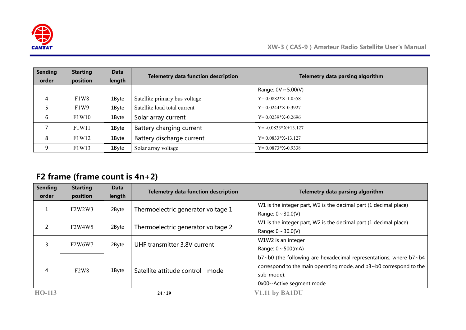

| <b>Sending</b> | <b>Starting</b>               | Data   | <b>Telemetry data function description</b> | Telemetry data parsing algorithm |
|----------------|-------------------------------|--------|--------------------------------------------|----------------------------------|
| order          | position                      | length |                                            |                                  |
|                |                               |        |                                            | Range: $0V \sim 5.00(V)$         |
| 4              | F <sub>1</sub> W <sub>8</sub> | 1Byte  | Satellite primary bus voltage              | $Y=0.0882*X-1.0558$              |
|                | F <sub>1</sub> W <sub>9</sub> | 1Byte  | Satellite load total current               | $Y=0.0244*X-0.3927$              |
| 6              | F1W10                         | 1Byte  | Solar array current                        | $Y=0.0239*X-0.2696$              |
|                | F1W11                         | 1Byte  | Battery charging current                   | $Y = -0.0833 \times 13.127$      |
| 8              | F1W12                         | 1Byte  | Battery discharge current                  | $Y=0.0833*X-13.127$              |
| 9              | F1W13                         | 1Byte  | Solar array voltage                        | $Y=0.0873*X-0.9338$              |

## **F2 frame (frame count is 4n+2)**

| <b>Sending</b><br>order | <b>Starting</b><br>position                  | Data<br>length | <b>Telemetry data function description</b> | Telemetry data parsing algorithm                                                                                                                                                                      |
|-------------------------|----------------------------------------------|----------------|--------------------------------------------|-------------------------------------------------------------------------------------------------------------------------------------------------------------------------------------------------------|
| Δ.                      | F2W2W3                                       | 2Byte          | Thermoelectric generator voltage 1         | W1 is the integer part, W2 is the decimal part (1 decimal place)<br>Range: $0 \sim 30.0(V)$                                                                                                           |
| 2                       | F <sub>2</sub> W <sub>4</sub> W <sub>5</sub> | 2Byte          | Thermoelectric generator voltage 2         | W1 is the integer part, W2 is the decimal part (1 decimal place)<br>Range: $0 \sim 30.0(V)$                                                                                                           |
| 3                       | F <sub>2</sub> W6W7                          | 2Byte          | UHF transmitter 3.8V current               | W1W2 is an integer<br>Range: $0 \sim 500$ (mA)                                                                                                                                                        |
| 4                       | F2W8                                         | 1Byte          | Satellite attitude control<br>mode         | $b7$ ~ $b0$ (the following are hexadecimal representations, where $b7$ ~ $b4$<br>correspond to the main operating mode, and $b3 \sim b0$ correspond to the<br>sub-mode):<br>0x00--Active segment mode |
| HO-113                  |                                              |                | 24/29                                      | V1.11 by BA1DU                                                                                                                                                                                        |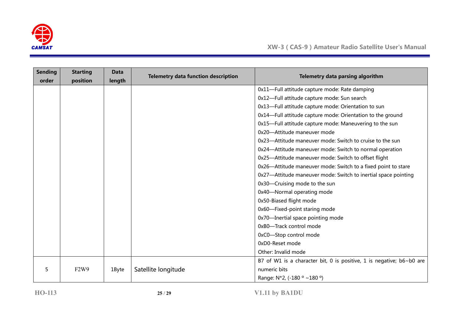

| <b>Sending</b><br>order | <b>Starting</b><br>position | <b>Data</b><br>length | <b>Telemetry data function description</b> | Telemetry data parsing algorithm                                     |
|-------------------------|-----------------------------|-----------------------|--------------------------------------------|----------------------------------------------------------------------|
|                         |                             |                       |                                            | 0x11-Full attitude capture mode: Rate damping                        |
|                         |                             |                       |                                            | 0x12-Full attitude capture mode: Sun search                          |
|                         |                             |                       |                                            | 0x13-Full attitude capture mode: Orientation to sun                  |
|                         |                             |                       |                                            | 0x14-Full attitude capture mode: Orientation to the ground           |
|                         |                             |                       |                                            | 0x15-Full attitude capture mode: Maneuvering to the sun              |
|                         |                             |                       |                                            | 0x20-Attitude maneuver mode                                          |
|                         |                             |                       |                                            | 0x23—Attitude maneuver mode: Switch to cruise to the sun             |
|                         |                             |                       |                                            | 0x24-Attitude maneuver mode: Switch to normal operation              |
|                         |                             |                       |                                            | 0x25-Attitude maneuver mode: Switch to offset flight                 |
|                         |                             |                       |                                            | 0x26-Attitude maneuver mode: Switch to a fixed point to stare        |
|                         |                             |                       |                                            | 0x27-Attitude maneuver mode: Switch to inertial space pointing       |
|                         |                             |                       |                                            | 0x30-Cruising mode to the sun                                        |
|                         |                             |                       |                                            | 0x40-Normal operating mode                                           |
|                         |                             |                       |                                            | 0x50-Biased flight mode                                              |
|                         |                             |                       |                                            | 0x60-Fixed-point staring mode                                        |
|                         |                             |                       |                                            | 0x70-Inertial space pointing mode                                    |
|                         |                             |                       |                                            | 0xB0-Track control mode                                              |
|                         |                             |                       |                                            | 0xC0-Stop control mode                                               |
|                         |                             |                       |                                            | 0xD0-Reset mode                                                      |
|                         |                             |                       |                                            | Other: Invalid mode                                                  |
|                         |                             |                       |                                            | B7 of W1 is a character bit, 0 is positive, 1 is negative; b6~b0 are |
| 5                       | F2W9                        | 1Byte                 | Satellite longitude                        | numeric bits                                                         |
|                         |                             |                       |                                            | Range: $N*2$ , (-180 $\degree$ ~180 $\degree$ )                      |

**HO-113 25** / **29 V1.11 by BA1DU**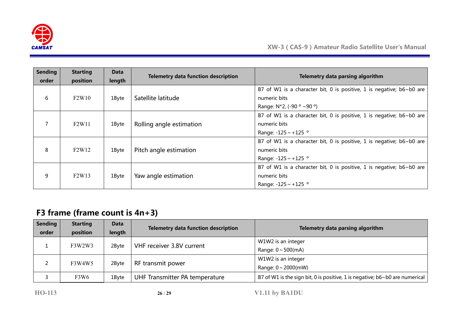

| <b>Sending</b><br>order | <b>Starting</b><br>position    | Data<br>length | <b>Telemetry data function description</b> | Telemetry data parsing algorithm                                                                                         |
|-------------------------|--------------------------------|----------------|--------------------------------------------|--------------------------------------------------------------------------------------------------------------------------|
| 6                       | F2W10                          | 1Byte          | Satellite latitude                         | B7 of W1 is a character bit, 0 is positive, 1 is negative; $b6 \sim b0$ are<br>numeric bits<br>Range: N*2, (-90 ° ~90 °) |
|                         | F <sub>2</sub> W <sub>11</sub> | 1Byte          | Rolling angle estimation                   | B7 of W1 is a character bit, 0 is positive, 1 is negative; b6~b0 are<br>numeric bits<br>Range: $-125 \sim +125$ °        |
| 8                       | F <sub>2</sub> W <sub>12</sub> | 1Byte          | Pitch angle estimation                     | B7 of W1 is a character bit, 0 is positive, 1 is negative; b6~b0 are<br>numeric bits<br>Range: $-125 \sim +125$ °        |
| 9                       | F <sub>2</sub> W <sub>13</sub> | 1Byte          | Yaw angle estimation                       | B7 of W1 is a character bit, 0 is positive, 1 is negative; b6~b0 are<br>numeric bits<br>Range: $-125 \sim +125$ °        |

## **F3 frame (frame count is 4n+3)**

| <b>Sending</b><br>order | <b>Starting</b><br>position | <b>Data</b><br>length | <b>Telemetry data function description</b> | Telemetry data parsing algorithm                                                   |
|-------------------------|-----------------------------|-----------------------|--------------------------------------------|------------------------------------------------------------------------------------|
|                         |                             |                       |                                            | W1W2 is an integer                                                                 |
|                         | F3W2W3                      | 2Byte                 | VHF receiver 3.8V current                  | Range: $0 \sim 500$ (mA)                                                           |
|                         |                             |                       |                                            | W1W2 is an integer                                                                 |
|                         | F3W4W5                      | 2Byte                 | RF transmit power                          | Range: $0 \sim 2000$ (mW)                                                          |
|                         | F3W6                        | 1Byte                 | UHF Transmitter PA temperature             | B7 of W1 is the sign bit, 0 is positive, 1 is negative; $b6 \sim b0$ are numerical |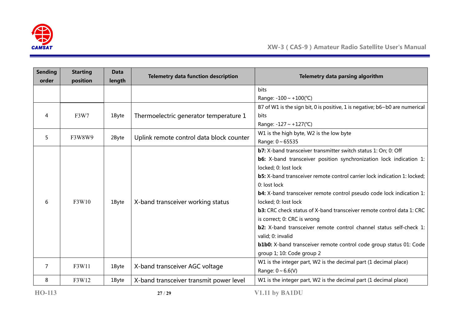

| <b>Sending</b> | <b>Starting</b>      | <b>Data</b>                                                                     | <b>Telemetry data function description</b>                | Telemetry data parsing algorithm                                            |
|----------------|----------------------|---------------------------------------------------------------------------------|-----------------------------------------------------------|-----------------------------------------------------------------------------|
| order          | position             | length                                                                          |                                                           |                                                                             |
|                |                      |                                                                                 |                                                           | <b>bits</b>                                                                 |
|                |                      |                                                                                 |                                                           | Range: $-100 \sim +100$ (°C)                                                |
|                |                      |                                                                                 |                                                           | B7 of W1 is the sign bit, 0 is positive, 1 is negative; b6~b0 are numerical |
| 4              | F3W7                 | 1Byte                                                                           | Thermoelectric generator temperature 1                    | <b>bits</b>                                                                 |
|                |                      |                                                                                 |                                                           | Range: $-127 \sim +127$ (°C)                                                |
| 5              | F3W8W9               | 2Byte                                                                           | Uplink remote control data block counter                  | W1 is the high byte, W2 is the low byte                                     |
|                |                      |                                                                                 |                                                           | Range: $0 \sim 65535$                                                       |
|                |                      |                                                                                 |                                                           | b7: X-band transceiver transmitter switch status 1: On; 0: Off              |
|                |                      |                                                                                 |                                                           | <b>b6:</b> X-band transceiver position synchronization lock indication 1:   |
|                | locked; 0: lost lock |                                                                                 |                                                           |                                                                             |
|                |                      | <b>b5:</b> X-band transceiver remote control carrier lock indication 1: locked; |                                                           |                                                                             |
|                |                      | 0: lost lock                                                                    |                                                           |                                                                             |
|                |                      |                                                                                 | X-band transceiver working status<br>locked; 0: lost lock | <b>b4:</b> X-band transceiver remote control pseudo code lock indication 1: |
| 6              | F3W10                | 1Byte                                                                           |                                                           |                                                                             |
|                |                      |                                                                                 |                                                           | b3: CRC check status of X-band transceiver remote control data 1: CRC       |
|                |                      |                                                                                 |                                                           | is correct; 0: CRC is wrong                                                 |
|                |                      |                                                                                 |                                                           | b2: X-band transceiver remote control channel status self-check 1:          |
|                |                      |                                                                                 |                                                           | valid; 0: invalid                                                           |
|                |                      |                                                                                 |                                                           | <b>b1b0:</b> X-band transceiver remote control code group status 01: Code   |
|                |                      |                                                                                 |                                                           | group 1; 10: Code group 2                                                   |
| 7              |                      |                                                                                 |                                                           | W1 is the integer part, W2 is the decimal part (1 decimal place)            |
|                | F3W11                | 1Byte                                                                           | X-band transceiver AGC voltage                            | Range: $0 \sim 6.6(V)$                                                      |
| 8              | F3W12                | 1Byte                                                                           | X-band transceiver transmit power level                   | W1 is the integer part, W2 is the decimal part (1 decimal place)            |